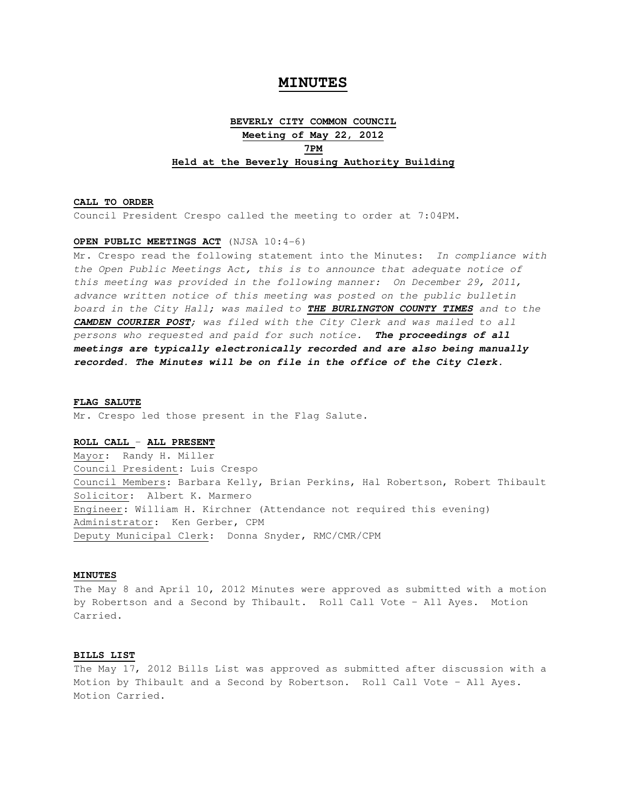# **MINUTES**

# **BEVERLY CITY COMMON COUNCIL Meeting of May 22, 2012 7PM Held at the Beverly Housing Authority Building**

# **CALL TO ORDER**

Council President Crespo called the meeting to order at 7:04PM.

# **OPEN PUBLIC MEETINGS ACT** (NJSA 10:4-6)

Mr. Crespo read the following statement into the Minutes: In compliance with the Open Public Meetings Act, this is to announce that adequate notice of this meeting was provided in the following manner: On December 29, 2011, advance written notice of this meeting was posted on the public bulletin board in the City Hall; was mailed to **THE BURLINGTON COUNTY TIMES** and to the **CAMDEN COURIER POST**; was filed with the City Clerk and was mailed to all persons who requested and paid for such notice. **The proceedings of all meetings are typically electronically recorded and are also being manually recorded. The Minutes will be on file in the office of the City Clerk.** 

#### **FLAG SALUTE**

Mr. Crespo led those present in the Flag Salute.

# **ROLL CALL** – **ALL PRESENT**

Mayor: Randy H. Miller Council President: Luis Crespo Council Members: Barbara Kelly, Brian Perkins, Hal Robertson, Robert Thibault Solicitor: Albert K. Marmero Engineer: William H. Kirchner (Attendance not required this evening) Administrator: Ken Gerber, CPM Deputy Municipal Clerk: Donna Snyder, RMC/CMR/CPM

# **MINUTES**

The May 8 and April 10, 2012 Minutes were approved as submitted with a motion by Robertson and a Second by Thibault. Roll Call Vote – All Ayes. Motion Carried.

# **BILLS LIST**

The May 17, 2012 Bills List was approved as submitted after discussion with a Motion by Thibault and a Second by Robertson. Roll Call Vote – All Ayes. Motion Carried.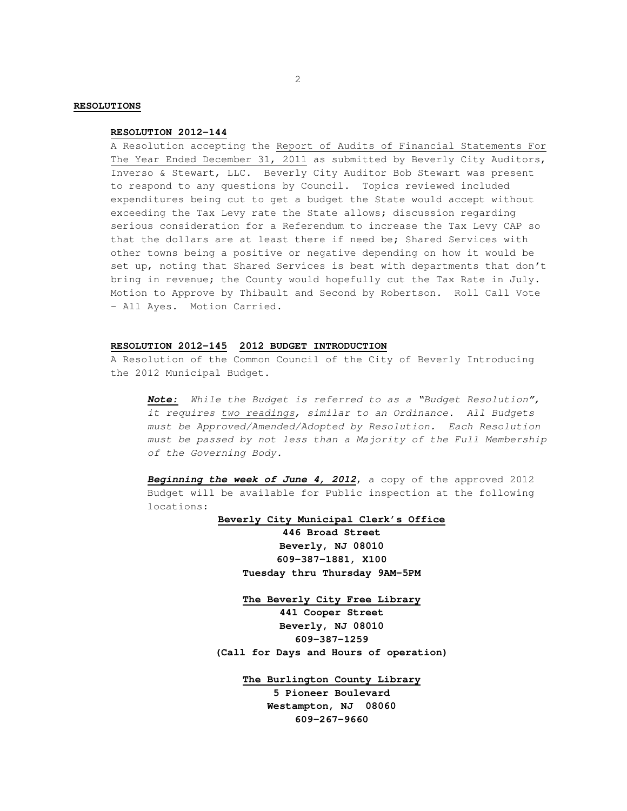# **RESOLUTIONS**

#### **RESOLUTION 2012-144**

A Resolution accepting the Report of Audits of Financial Statements For The Year Ended December 31, 2011 as submitted by Beverly City Auditors, Inverso & Stewart, LLC. Beverly City Auditor Bob Stewart was present to respond to any questions by Council. Topics reviewed included expenditures being cut to get a budget the State would accept without exceeding the Tax Levy rate the State allows; discussion regarding serious consideration for a Referendum to increase the Tax Levy CAP so that the dollars are at least there if need be; Shared Services with other towns being a positive or negative depending on how it would be set up, noting that Shared Services is best with departments that don't bring in revenue; the County would hopefully cut the Tax Rate in July. Motion to Approve by Thibault and Second by Robertson. Roll Call Vote – All Ayes. Motion Carried.

#### **RESOLUTION 2012-145 2012 BUDGET INTRODUCTION**

A Resolution of the Common Council of the City of Beverly Introducing the 2012 Municipal Budget.

 **Note:** While the Budget is referred to as a "Budget Resolution", it requires two readings, similar to an Ordinance. All Budgets must be Approved/Amended/Adopted by Resolution. Each Resolution must be passed by not less than a Majority of the Full Membership of the Governing Body.

 **Beginning the week of June 4, 2012**, a copy of the approved 2012 Budget will be available for Public inspection at the following locations:

**Beverly City Municipal Clerk's Office**

**446 Broad Street Beverly, NJ 08010 609-387-1881, X100 Tuesday thru Thursday 9AM-5PM** 

**The Beverly City Free Library**

**441 Cooper Street Beverly, NJ 08010 609-387-1259 (Call for Days and Hours of operation)** 

> **The Burlington County Library 5 Pioneer Boulevard Westampton, NJ 08060 609-267-9660**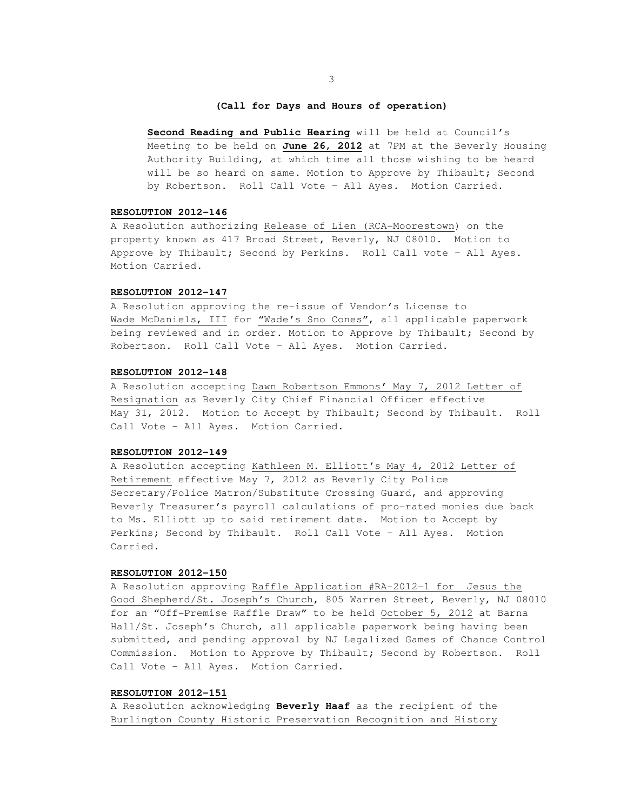# **(Call for Days and Hours of operation)**

 **Second Reading and Public Hearing** will be held at Council's Meeting to be held on **June 26, 2012** at 7PM at the Beverly Housing Authority Building, at which time all those wishing to be heard will be so heard on same. Motion to Approve by Thibault; Second by Robertson. Roll Call Vote – All Ayes. Motion Carried.

# **RESOLUTION 2012-146**

A Resolution authorizing Release of Lien (RCA-Moorestown) on the property known as 417 Broad Street, Beverly, NJ 08010. Motion to Approve by Thibault; Second by Perkins. Roll Call vote – All Ayes. Motion Carried.

# **RESOLUTION 2012-147**

A Resolution approving the re-issue of Vendor's License to Wade McDaniels, III for "Wade's Sno Cones", all applicable paperwork being reviewed and in order. Motion to Approve by Thibault; Second by Robertson. Roll Call Vote – All Ayes. Motion Carried.

# **RESOLUTION 2012-148**

A Resolution accepting Dawn Robertson Emmons' May 7, 2012 Letter of Resignation as Beverly City Chief Financial Officer effective May 31, 2012. Motion to Accept by Thibault; Second by Thibault. Roll Call Vote – All Ayes. Motion Carried.

# **RESOLUTION 2012-149**

A Resolution accepting Kathleen M. Elliott's May 4, 2012 Letter of Retirement effective May 7, 2012 as Beverly City Police Secretary/Police Matron/Substitute Crossing Guard, and approving Beverly Treasurer's payroll calculations of pro-rated monies due back to Ms. Elliott up to said retirement date. Motion to Accept by Perkins; Second by Thibault. Roll Call Vote – All Ayes. Motion Carried.

# **RESOLUTION 2012-150**

A Resolution approving Raffle Application #RA-2012-1 for Jesus the Good Shepherd/St. Joseph's Church, 805 Warren Street, Beverly, NJ 08010 for an "Off-Premise Raffle Draw" to be held October 5, 2012 at Barna Hall/St. Joseph's Church, all applicable paperwork being having been submitted, and pending approval by NJ Legalized Games of Chance Control Commission. Motion to Approve by Thibault; Second by Robertson. Roll Call Vote – All Ayes. Motion Carried.

#### **RESOLUTION 2012-151**

A Resolution acknowledging **Beverly Haaf** as the recipient of the Burlington County Historic Preservation Recognition and History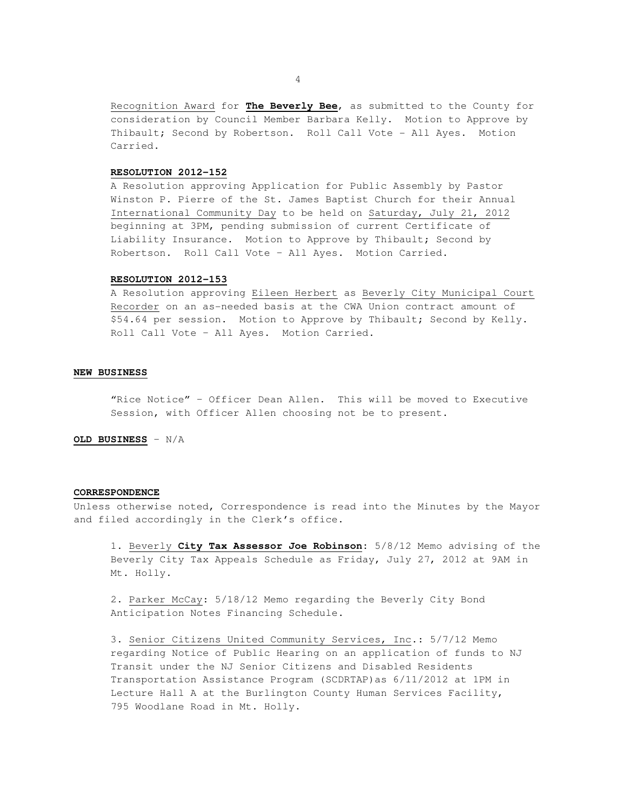Recognition Award for **The Beverly Bee**, as submitted to the County for consideration by Council Member Barbara Kelly. Motion to Approve by Thibault; Second by Robertson. Roll Call Vote - All Ayes. Motion Carried.

### **RESOLUTION 2012-152**

A Resolution approving Application for Public Assembly by Pastor Winston P. Pierre of the St. James Baptist Church for their Annual International Community Day to be held on Saturday, July 21, 2012 beginning at 3PM, pending submission of current Certificate of Liability Insurance. Motion to Approve by Thibault; Second by Robertson. Roll Call Vote – All Ayes. Motion Carried.

# **RESOLUTION 2012-153**

A Resolution approving Eileen Herbert as Beverly City Municipal Court Recorder on an as-needed basis at the CWA Union contract amount of \$54.64 per session. Motion to Approve by Thibault; Second by Kelly. Roll Call Vote – All Ayes. Motion Carried.

# **NEW BUSINESS**

 "Rice Notice" – Officer Dean Allen. This will be moved to Executive Session, with Officer Allen choosing not be to present.

**OLD BUSINESS** – N/A

# **CORRESPONDENCE**

Unless otherwise noted, Correspondence is read into the Minutes by the Mayor and filed accordingly in the Clerk's office.

 1. Beverly **City Tax Assessor Joe Robinson:** 5/8/12 Memo advising of the Beverly City Tax Appeals Schedule as Friday, July 27, 2012 at 9AM in Mt. Holly.

 2. Parker McCay: 5/18/12 Memo regarding the Beverly City Bond Anticipation Notes Financing Schedule.

 3. Senior Citizens United Community Services, Inc.: 5/7/12 Memo regarding Notice of Public Hearing on an application of funds to NJ Transit under the NJ Senior Citizens and Disabled Residents Transportation Assistance Program (SCDRTAP)as 6/11/2012 at 1PM in Lecture Hall A at the Burlington County Human Services Facility, 795 Woodlane Road in Mt. Holly.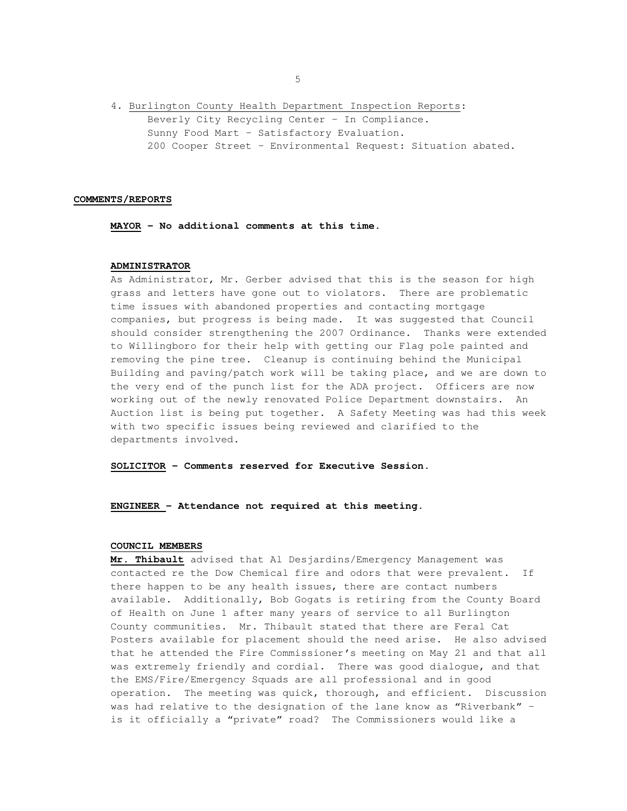4. Burlington County Health Department Inspection Reports: Beverly City Recycling Center – In Compliance. Sunny Food Mart – Satisfactory Evaluation. 200 Cooper Street – Environmental Request: Situation abated.

# **COMMENTS/REPORTS**

**MAYOR - No additional comments at this time.** 

# **ADMINISTRATOR**

 As Administrator, Mr. Gerber advised that this is the season for high grass and letters have gone out to violators. There are problematic time issues with abandoned properties and contacting mortgage companies, but progress is being made. It was suggested that Council should consider strengthening the 2007 Ordinance. Thanks were extended to Willingboro for their help with getting our Flag pole painted and removing the pine tree. Cleanup is continuing behind the Municipal Building and paving/patch work will be taking place, and we are down to the very end of the punch list for the ADA project. Officers are now working out of the newly renovated Police Department downstairs. An Auction list is being put together. A Safety Meeting was had this week with two specific issues being reviewed and clarified to the departments involved.

**SOLICITOR – Comments reserved for Executive Session.** 

**ENGINEER – Attendance not required at this meeting.** 

### **COUNCIL MEMBERS**

**Mr. Thibault** advised that Al Desjardins/Emergency Management was contacted re the Dow Chemical fire and odors that were prevalent. If there happen to be any health issues, there are contact numbers available. Additionally, Bob Gogats is retiring from the County Board of Health on June 1 after many years of service to all Burlington County communities. Mr. Thibault stated that there are Feral Cat Posters available for placement should the need arise. He also advised that he attended the Fire Commissioner's meeting on May 21 and that all was extremely friendly and cordial. There was good dialogue, and that the EMS/Fire/Emergency Squads are all professional and in good operation. The meeting was quick, thorough, and efficient. Discussion was had relative to the designation of the lane know as "Riverbank" – is it officially a "private" road? The Commissioners would like a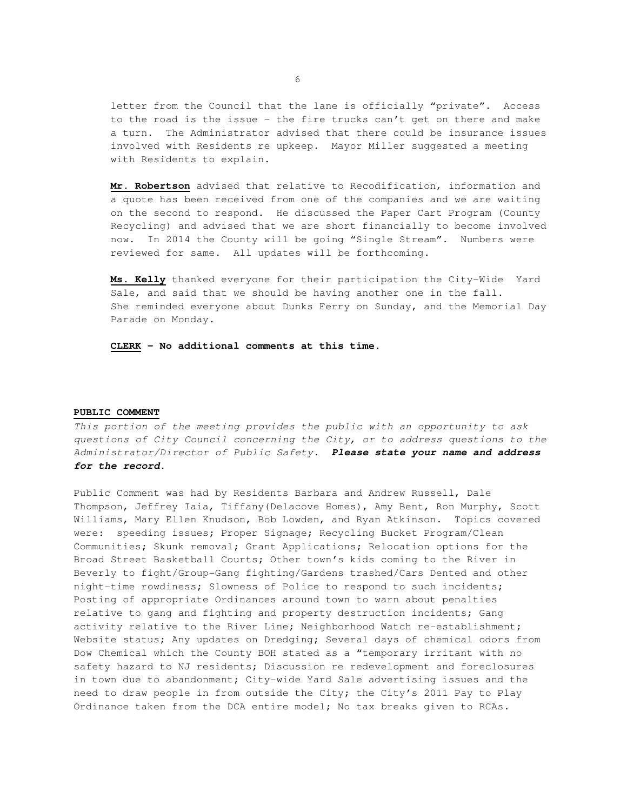letter from the Council that the lane is officially "private". Access to the road is the issue – the fire trucks can't get on there and make a turn. The Administrator advised that there could be insurance issues involved with Residents re upkeep. Mayor Miller suggested a meeting with Residents to explain.

**Mr. Robertson** advised that relative to Recodification, information and a quote has been received from one of the companies and we are waiting on the second to respond. He discussed the Paper Cart Program (County Recycling) and advised that we are short financially to become involved now. In 2014 the County will be going "Single Stream". Numbers were reviewed for same. All updates will be forthcoming.

**Ms. Kelly** thanked everyone for their participation the City-Wide Yard Sale, and said that we should be having another one in the fall. She reminded everyone about Dunks Ferry on Sunday, and the Memorial Day Parade on Monday.

**CLERK – No additional comments at this time.** 

#### **PUBLIC COMMENT**

This portion of the meeting provides the public with an opportunity to ask questions of City Council concerning the City, or to address questions to the Administrator/Director of Public Safety. **Please state your name and address for the record.** 

Public Comment was had by Residents Barbara and Andrew Russell, Dale Thompson, Jeffrey Iaia, Tiffany(Delacove Homes), Amy Bent, Ron Murphy, Scott Williams, Mary Ellen Knudson, Bob Lowden, and Ryan Atkinson. Topics covered were: speeding issues; Proper Signage; Recycling Bucket Program/Clean Communities; Skunk removal; Grant Applications; Relocation options for the Broad Street Basketball Courts; Other town's kids coming to the River in Beverly to fight/Group-Gang fighting/Gardens trashed/Cars Dented and other night-time rowdiness; Slowness of Police to respond to such incidents; Posting of appropriate Ordinances around town to warn about penalties relative to gang and fighting and property destruction incidents; Gang activity relative to the River Line; Neighborhood Watch re-establishment; Website status; Any updates on Dredging; Several days of chemical odors from Dow Chemical which the County BOH stated as a "temporary irritant with no safety hazard to NJ residents; Discussion re redevelopment and foreclosures in town due to abandonment; City-wide Yard Sale advertising issues and the need to draw people in from outside the City; the City's 2011 Pay to Play Ordinance taken from the DCA entire model; No tax breaks given to RCAs.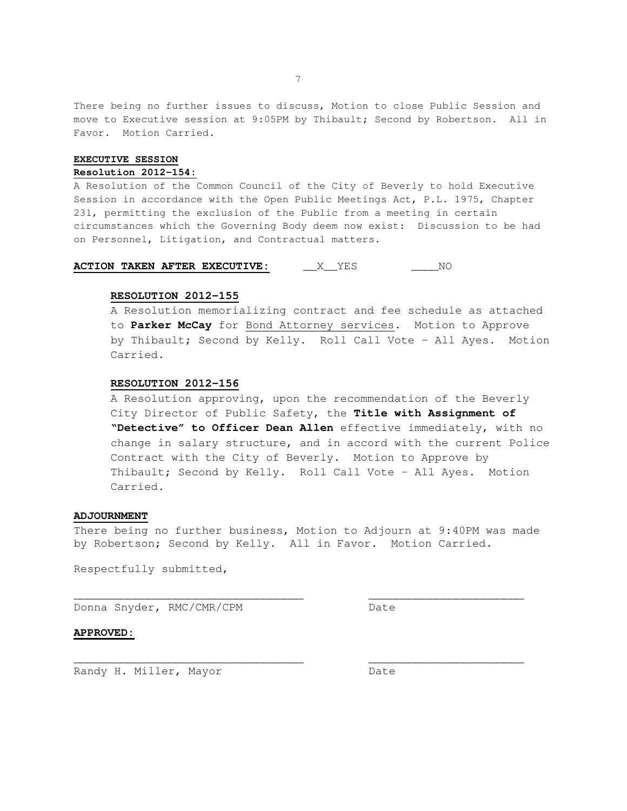There being no further issues to discuss, Motion to close Public Session and move to Executive session at 9:05PM by Thibault; Second by Robertson. All in Favor. Motion Carried.

# **EXECUTIVE SESSION**

#### **Resolution 2012-154:**

A Resolution of the Common Council of the City of Beverly to hold Executive Session in accordance with the Open Public Meetings Act, P.L. 1975, Chapter 231, permitting the exclusion of the Public from a meeting in certain circumstances which the Governing Body deem now exist: Discussion to be had on Personnel, Litigation, and Contractual matters.

# **ACTION TAKEN AFTER EXECUTIVE:** \_\_\_X\_\_YES \_\_\_\_\_\_NO

#### **RESOLUTION 2012-155**

 A Resolution memorializing contract and fee schedule as attached to **Parker McCay** for Bond Attorney services. Motion to Approve by Thibault; Second by Kelly. Roll Call Vote – All Ayes. Motion Carried.

# **RESOLUTION 2012-156**

 A Resolution approving, upon the recommendation of the Beverly City Director of Public Safety, the **Title with Assignment of "Detective" to Officer Dean Allen** effective immediately, with no change in salary structure, and in accord with the current Police Contract with the City of Beverly. Motion to Approve by Thibault; Second by Kelly. Roll Call Vote – All Ayes. Motion Carried.

# **ADJOURNMENT**

There being no further business, Motion to Adjourn at 9:40PM was made by Robertson; Second by Kelly. All in Favor. Motion Carried.

\_\_\_\_\_\_\_\_\_\_\_\_\_\_\_\_\_\_\_\_\_\_\_\_\_\_\_\_\_\_\_\_\_\_ \_\_\_\_\_\_\_\_\_\_\_\_\_\_\_\_\_\_\_\_\_\_\_

 $\overline{\phantom{a}}$  , and the contribution of the contribution of the contribution of the contribution of the contribution of the contribution of the contribution of the contribution of the contribution of the contribution of the

Respectfully submitted,

Donna Snyder, RMC/CMR/CPM Date

# **APPROVED:**

Randy H. Miller, Mayor Date